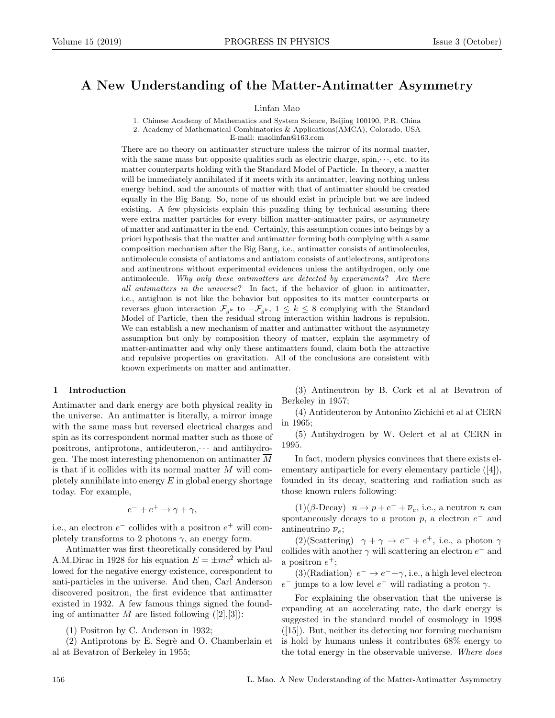# A New Understanding of the Matter-Antimatter Asymmetry

## Linfan Mao

1. Chinese Academy of Mathematics and System Science, Beijing 100190, P.R. China

2. Academy of Mathematical Combinatorics & Applications(AMCA), Colorado, USA

E-mail: maolinfan@163.com

There are no theory on antimatter structure unless the mirror of its normal matter, with the same mass but opposite qualities such as electric charge,  $spin, \dots$ , etc. to its matter counterparts holding with the Standard Model of Particle. In theory, a matter will be immediately annihilated if it meets with its antimatter, leaving nothing unless energy behind, and the amounts of matter with that of antimatter should be created equally in the Big Bang. So, none of us should exist in principle but we are indeed existing. A few physicists explain this puzzling thing by technical assuming there were extra matter particles for every billion matter-antimatter pairs, or asymmetry of matter and antimatter in the end. Certainly, this assumption comes into beings by a priori hypothesis that the matter and antimatter forming both complying with a same composition mechanism after the Big Bang, i.e., antimatter consists of antimolecules, antimolecule consists of antiatoms and antiatom consists of antielectrons, antiprotons and antineutrons without experimental evidences unless the antihydrogen, only one antimolecule. Why only these antimatters are detected by experiments? Are there all antimatters in the universe? In fact, if the behavior of gluon in antimatter, i.e., antigluon is not like the behavior but opposites to its matter counterparts or reverses gluon interaction  $\mathcal{F}_{g^k}$  to  $-\mathcal{F}_{g^k}$ ,  $1 \leq k \leq 8$  complying with the Standard Model of Particle, then the residual strong interaction within hadrons is repulsion. We can establish a new mechanism of matter and antimatter without the asymmetry assumption but only by composition theory of matter, explain the asymmetry of matter-antimatter and why only these antimatters found, claim both the attractive and repulsive properties on gravitation. All of the conclusions are consistent with known experiments on matter and antimatter.

# 1 Introduction

Antimatter and dark energy are both physical reality in the universe. An antimatter is literally, a mirror image with the same mass but reversed electrical charges and spin as its correspondent normal matter such as those of positrons, antiprotons, antideuteron, $\cdots$  and antihydrogen. The most interesting phenomenon on antimatter M is that if it collides with its normal matter  $M$  will completely annihilate into energy  $E$  in global energy shortage today. For example,

$$
e^- + e^+ \to \gamma + \gamma,
$$

i.e., an electron  $e^-$  collides with a positron  $e^+$  will completely transforms to 2 photons  $\gamma$ , an energy form.

Antimatter was first theoretically considered by Paul A.M.Dirac in 1928 for his equation  $E = \pm mc^2$  which allowed for the negative energy existence, corespondent to anti-particles in the universe. And then, Carl Anderson discovered positron, the first evidence that antimatter existed in 1932. A few famous things signed the founding of antimatter  $\overline{M}$  are listed following ([2],[3]):

(1) Positron by C. Anderson in 1932;

 $(2)$  Antiprotons by E. Segrè and O. Chamberlain et al at Bevatron of Berkeley in 1955;

(3) Antineutron by B. Cork et al at Bevatron of Berkeley in 1957;

(4) Antideuteron by Antonino Zichichi et al at CERN in 1965;

(5) Antihydrogen by W. Oelert et al at CERN in 1995.

In fact, modern physics convinces that there exists elementary antiparticle for every elementary particle ([4]), founded in its decay, scattering and radiation such as those known rulers following:

 $(1)(\beta$ -Decay)  $n \to p + e^- + \overline{\nu}_e$ , i.e., a neutron *n* can spontaneously decays to a proton  $p$ , a electron  $e^-$  and antineutrino  $\overline{\nu}_e$ ;

(2)(Scattering)  $\gamma + \gamma \rightarrow e^- + e^+, i.e.,$  a photon  $\gamma$ collides with another  $\gamma$  will scattering an electron  $e^-$  and a positron  $e^+$ ;

(3)(Radiation)  $e^- \rightarrow e^- + \gamma$ , i.e., a high level electron  $e^-$  jumps to a low level  $e^-$  will radiating a proton  $\gamma$ .

For explaining the observation that the universe is expanding at an accelerating rate, the dark energy is suggested in the standard model of cosmology in 1998  $(15)$ . But, neither its detecting nor forming mechanism is hold by humans unless it contributes 68% energy to the total energy in the observable universe. Where does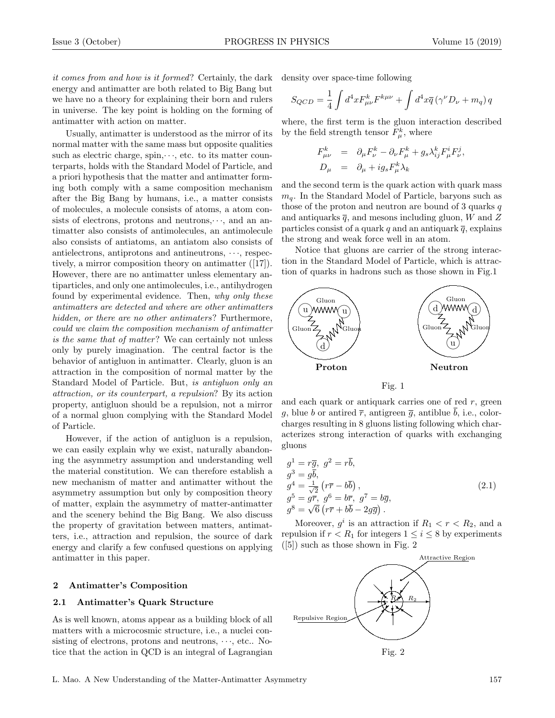it comes from and how is it formed? Certainly, the dark energy and antimatter are both related to Big Bang but we have no a theory for explaining their born and rulers in universe. The key point is holding on the forming of antimatter with action on matter.

Usually, antimatter is understood as the mirror of its normal matter with the same mass but opposite qualities such as electric charge, spin, $\cdots$ , etc. to its matter counterparts, holds with the Standard Model of Particle, and a priori hypothesis that the matter and antimatter forming both comply with a same composition mechanism after the Big Bang by humans, i.e., a matter consists of molecules, a molecule consists of atoms, a atom consists of electrons, protons and neutrons, $\cdots$ , and an antimatter also consists of antimolecules, an antimolecule also consists of antiatoms, an antiatom also consists of antielectrons, antiprotons and antineutrons,  $\cdots$ , respectively, a mirror composition theory on antimatter ([17]). However, there are no antimatter unless elementary antiparticles, and only one antimolecules, i.e., antihydrogen found by experimental evidence. Then, why only these antimatters are detected and where are other antimatters hidden, or there are no other antimaters? Furthermore, could we claim the composition mechanism of antimatter is the same that of matter? We can certainly not unless only by purely imagination. The central factor is the behavior of antigluon in antimatter. Clearly, gluon is an attraction in the composition of normal matter by the Standard Model of Particle. But, is antigluon only an attraction, or its counterpart, a repulsion? By its action property, antigluon should be a repulsion, not a mirror of a normal gluon complying with the Standard Model of Particle.

However, if the action of antigluon is a repulsion, we can easily explain why we exist, naturally abandoning the asymmetry assumption and understanding well the material constitution. We can therefore establish a new mechanism of matter and antimatter without the asymmetry assumption but only by composition theory of matter, explain the asymmetry of matter-antimatter and the scenery behind the Big Bang. We also discuss the property of gravitation between matters, antimatters, i.e., attraction and repulsion, the source of dark energy and clarify a few confused questions on applying antimatter in this paper.

## 2 Antimatter's Composition

# 2.1 Antimatter's Quark Structure

As is well known, atoms appear as a building block of all matters with a microcosmic structure, i.e., a nuclei consisting of electrons, protons and neutrons,  $\cdots$ , etc.. Notice that the action in QCD is an integral of Lagrangian density over space-time following

$$
S_{QCD} = \frac{1}{4} \int d^4x F_{\mu\nu}^k F^{k\mu\nu} + \int d^4x \overline{q} \left( \gamma^\nu D_\nu + m_q \right) q
$$

where, the first term is the gluon interaction described by the field strength tensor  $F_{\mu}^{k}$ , where

$$
\begin{array}{rcl} F_{\mu\nu}^k & = & \partial_\mu F_\nu^k - \partial_\nu F_\mu^k + g_s \lambda_{ij}^k F_\mu^i F_\nu^j, \\ D_\mu & = & \partial_\mu + i g_s F_\mu^k \lambda_k \end{array}
$$

and the second term is the quark action with quark mass  $m_q$ . In the Standard Model of Particle, baryons such as those of the proton and neutron are bound of 3 quarks  $q$ and antiquarks  $\overline{q}$ , and mesons including gluon, W and Z particles consist of a quark q and an antiquark  $\overline{q}$ , explains the strong and weak force well in an atom.

Notice that gluons are carrier of the strong interaction in the Standard Model of Particle, which is attraction of quarks in hadrons such as those shown in Fig.1



Fig. 1

and each quark or antiquark carries one of red  $r$ , green g, blue b or antired  $\bar{r}$ , antigreen  $\bar{g}$ , antiblue  $\bar{b}$ , i.e., colorcharges resulting in 8 gluons listing following which characterizes strong interaction of quarks with exchanging gluons

$$
g^{1} = r\overline{g}, g^{2} = r\overline{b},
$$
  
\n
$$
g^{3} = g\overline{b},
$$
  
\n
$$
g^{4} = \frac{1}{\sqrt{2}} (r\overline{r} - b\overline{b}),
$$
  
\n
$$
g^{5} = g\overline{r}, g^{6} = b\overline{r}, g^{7} = b\overline{g},
$$
  
\n
$$
g^{8} = \sqrt{6} (r\overline{r} + b\overline{b} - 2g\overline{g}).
$$
\n(2.1)

Moreover,  $g^i$  is an attraction if  $R_1 < r < R_2$ , and a repulsion if  $r < R_1$  for integers  $1 \leq i \leq 8$  by experiments  $([5])$  such as those shown in Fig. 2



Fig. 2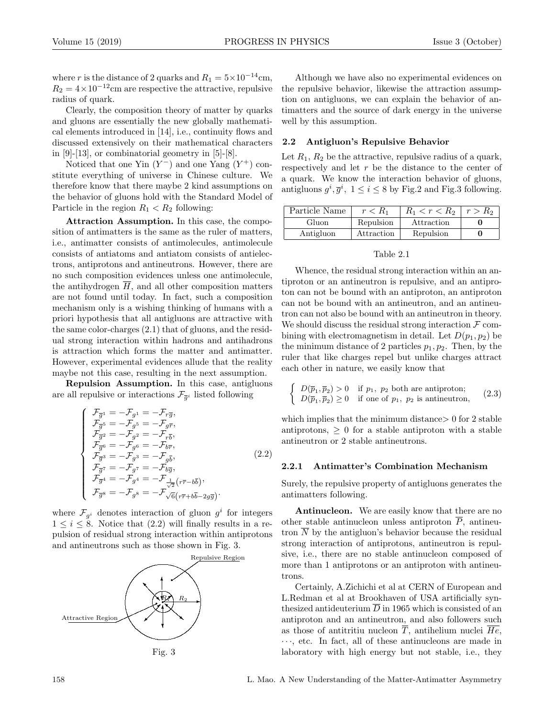where r is the distance of 2 quarks and  $R_1 = 5 \times 10^{-14}$ cm,  $R_2 = 4 \times 10^{-12}$ cm are respective the attractive, repulsive radius of quark.

Clearly, the composition theory of matter by quarks and gluons are essentially the new globally mathematical elements introduced in [14], i.e., continuity flows and discussed extensively on their mathematical characters in [9]-[13], or combinatorial geometry in [5]-[8].

Noticed that one Yin  $(Y^-)$  and one Yang  $(Y^+)$  constitute everything of universe in Chinese culture. We therefore know that there maybe 2 kind assumptions on the behavior of gluons hold with the Standard Model of Particle in the region  $R_1 < R_2$  following:

Attraction Assumption. In this case, the composition of antimatters is the same as the ruler of matters, i.e., antimatter consists of antimolecules, antimolecule consists of antiatoms and antiatom consists of antielectrons, antiprotons and antineutrons. However, there are no such composition evidences unless one antimolecule, the antihydrogen  $\overline{H}$ , and all other composition matters are not found until today. In fact, such a composition mechanism only is a wishing thinking of humans with a priori hypothesis that all antigluons are attractive with the same color-charges (2.1) that of gluons, and the residual strong interaction within hadrons and antihadrons is attraction which forms the matter and antimatter. However, experimental evidences allude that the reality maybe not this case, resulting in the next assumption.

Repulsion Assumption. In this case, antigluons are all repulsive or interactions  $\mathcal{F}_{\overline{g}i}$  listed following

$$
\begin{cases}\n\mathcal{F}_{\overline{g}^1} = -\mathcal{F}_{g^1} = -\mathcal{F}_{r\overline{g}},\\
\mathcal{F}_{\overline{g}^5} = -\mathcal{F}_{g^5} = -\mathcal{F}_{g\overline{r}},\\
\mathcal{F}_{\overline{g}^2} = -\mathcal{F}_{g^2} = -\mathcal{F}_{r\overline{b}},\\
\mathcal{F}_{\overline{g}^6} = -\mathcal{F}_{g^6} = -\mathcal{F}_{b\overline{r}},\\
\mathcal{F}_{\overline{g}^3} = -\mathcal{F}_{g^3} = -\mathcal{F}_{g\overline{b}},\\
\mathcal{F}_{\overline{g}^7} = -\mathcal{F}_{g^7} = -\mathcal{F}_{b\overline{g}},\\
\mathcal{F}_{\overline{g}^4} = -\mathcal{F}_{g^4} = -\mathcal{F}_{\frac{1}{\sqrt{2}}}(\mathbf{r}\mathbf{r} - \mathbf{b}\mathbf{\bar{b}}),\\
\mathcal{F}_{\overline{g}^8} = -\mathcal{F}_{g^8} = -\mathcal{F}_{\sqrt{6}}(\mathbf{r}\mathbf{r} + \mathbf{b}\mathbf{\bar{b}} - 2g\overline{g}).\n\end{cases} (2.2)
$$

where  $\mathcal{F}_{g^i}$  denotes interaction of gluon  $g^i$  for integers  $1 \leq i \leq 8$ . Notice that  $(2.2)$  will finally results in a repulsion of residual strong interaction within antiprotons and antineutrons such as those shown in Fig. 3.



Fig. 3

Although we have also no experimental evidences on the repulsive behavior, likewise the attraction assumption on antigluons, we can explain the behavior of antimatters and the source of dark energy in the universe well by this assumption.

## 2.2 Antigluon's Repulsive Behavior

Let  $R_1, R_2$  be the attractive, repulsive radius of a quark, respectively and let r be the distance to the center of a quark. We know the interaction behavior of gluons, antigluons  $g^i, \overline{g}^i$ ,  $1 \leq i \leq 8$  by Fig.2 and Fig.3 following.

| Particle Name | $r < R_1$  | $R_1 < r < R_2$ | $r > R_2$ |
|---------------|------------|-----------------|-----------|
| Gluon         | Repulsion  | Attraction      |           |
| Antigluon     | Attraction | Repulsion       |           |

# Table 2.1

Whence, the residual strong interaction within an antiproton or an antineutron is repulsive, and an antiproton can not be bound with an antiproton, an antiproton can not be bound with an antineutron, and an antineutron can not also be bound with an antineutron in theory. We should discuss the residual strong interaction  $\mathcal F$  combining with electromagnetism in detail. Let  $D(p_1, p_2)$  be the minimum distance of 2 particles  $p_1, p_2$ . Then, by the ruler that like charges repel but unlike charges attract each other in nature, we easily know that

$$
\begin{cases} D(\overline{p}_1, \overline{p}_2) > 0 & \text{if } p_1, p_2 \text{ both are antiproton;}\\ D(\overline{p}_1, \overline{p}_2) \ge 0 & \text{if one of } p_1, p_2 \text{ is antineutron,} \end{cases}
$$
 (2.3)

which implies that the minimum distance  $> 0$  for 2 stable antiprotons,  $> 0$  for a stable antiproton with a stable antineutron or 2 stable antineutrons.

#### 2.2.1 Antimatter's Combination Mechanism

Surely, the repulsive property of antigluons generates the antimatters following.

Antinucleon. We are easily know that there are no other stable antinucleon unless antiproton  $\overline{P}$ , antineutron  $\overline{N}$  by the antigluon's behavior because the residual strong interaction of antiprotons, antineutron is repulsive, i.e., there are no stable antinucleon composed of more than 1 antiprotons or an antiproton with antineutrons.

Certainly, A.Zichichi et al at CERN of European and L.Redman et al at Brookhaven of USA artificially synthesized antideuterium  $\overline{D}$  in 1965 which is consisted of an antiproton and an antineutron, and also followers such as those of antitritiu nucleon  $\overline{T}$ , antihelium nuclei  $\overline{He}$ , · · ·, etc. In fact, all of these antinucleons are made in laboratory with high energy but not stable, i.e., they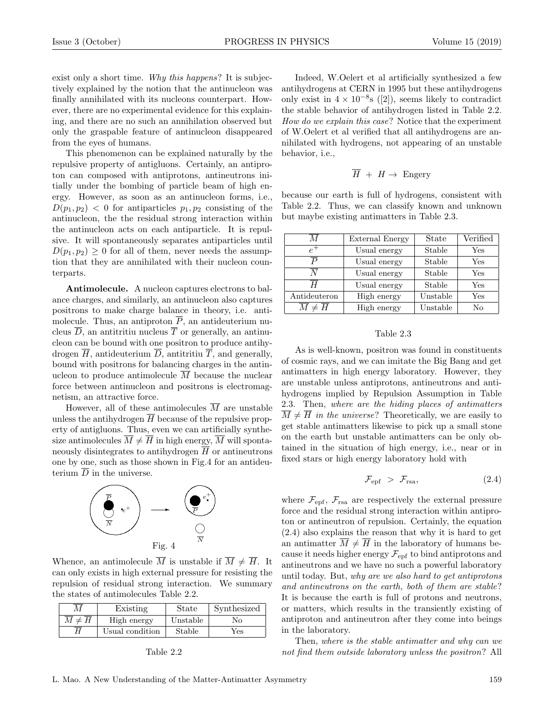exist only a short time. Why this happens? It is subjectively explained by the notion that the antinucleon was finally annihilated with its nucleons counterpart. However, there are no experimental evidence for this explaining, and there are no such an annihilation observed but only the graspable feature of antinucleon disappeared from the eyes of humans.

This phenomenon can be explained naturally by the repulsive property of antigluons. Certainly, an antiproton can composed with antiprotons, antineutrons initially under the bombing of particle beam of high energy. However, as soon as an antinucleon forms, i.e.,  $D(p_1, p_2)$  < 0 for antiparticles  $p_1, p_2$  consisting of the antinucleon, the the residual strong interaction within the antinucleon acts on each antiparticle. It is repulsive. It will spontaneously separates antiparticles until  $D(p_1, p_2) \geq 0$  for all of them, never needs the assumption that they are annihilated with their nucleon counterparts.

Antimolecule. A nucleon captures electrons to balance charges, and similarly, an antinucleon also captures positrons to make charge balance in theory, i.e. antimolecule. Thus, an antiproton  $\overline{P}$ , an antideuterium nucleus  $\overline{D}$ , an antitritiu nucleus  $\overline{T}$  or generally, an antinucleon can be bound with one positron to produce antihydrogen  $\overline{H}$ , antideuterium  $\overline{D}$ , antitritiu  $\overline{T}$ , and generally, bound with positrons for balancing charges in the antinucleon to produce antimolecule M because the nuclear force between antinucleon and positrons is electromagnetism, an attractive force.

However, all of these antimolecules  $\overline{M}$  are unstable unless the antihydrogen  $\overline{H}$  because of the repulsive property of antigluons. Thus, even we can artificially synthesize antimolecules  $\overline{M} \neq \overline{H}$  in high energy,  $\overline{M}$  will spontaneously disintegrates to antihydrogen  $\overline{H}$  or antineutrons one by one, such as those shown in Fig.4 for an antideuterium  $\overline{D}$  in the universe.



Whence, an antimolecule  $\overline{M}$  is unstable if  $\overline{M} \neq \overline{H}$ . It can only exists in high external pressure for resisting the repulsion of residual strong interaction. We summary the states of antimolecules Table 2.2.

| Existing        | State    | Synthesized |
|-----------------|----------|-------------|
| High energy     | Unstable | No          |
| Usual condition | Stable   | Yes         |

| Table 2.2 |  |
|-----------|--|
|-----------|--|

Indeed, W.Oelert et al artificially synthesized a few antihydrogens at CERN in 1995 but these antihydrogens only exist in  $4 \times 10^{-8}$ s ([2]), seems likely to contradict the stable behavior of antihydrogen listed in Table 2.2. How do we explain this case? Notice that the experiment of W.Oelert et al verified that all antihydrogens are annihilated with hydrogens, not appearing of an unstable behavior, i.e.,

$$
\overline{H} + H \to \text{ Energy}
$$

because our earth is full of hydrogens, consistent with Table 2.2. Thus, we can classify known and unknown but maybe existing antimatters in Table 2.3.

| M                | External Energy | State    | Verified |
|------------------|-----------------|----------|----------|
| $\rho^+$         | Usual energy    | Stable   | Yes      |
| $\boldsymbol{P}$ | Usual energy    | Stable   | Yes      |
| $\mathcal{N}$    | Usual energy    | Stable   | Yes      |
| H                | Usual energy    | Stable   | Yes      |
| Antideuteron     | High energy     | Unstable | Yes      |
| $M \neq H$       | High energy     | Unstable | No       |

# Table 2.3

As is well-known, positron was found in constituents of cosmic rays, and we can imitate the Big Bang and get antimatters in high energy laboratory. However, they are unstable unless antiprotons, antineutrons and antihydrogens implied by Repulsion Assumption in Table 2.3. Then, where are the hiding places of antimatters  $\overline{M} \neq \overline{H}$  in the universe? Theoretically, we are easily to get stable antimatters likewise to pick up a small stone on the earth but unstable antimatters can be only obtained in the situation of high energy, i.e., near or in fixed stars or high energy laboratory hold with

$$
\mathcal{F}_{\rm epf} > \mathcal{F}_{\rm rsa},\tag{2.4}
$$

where  $\mathcal{F}_{\text{epf}}$ ,  $\mathcal{F}_{\text{rsa}}$  are respectively the external pressure force and the residual strong interaction within antiproton or antineutron of repulsion. Certainly, the equation (2.4) also explains the reason that why it is hard to get an antimatter  $\overline{M} \neq \overline{H}$  in the laboratory of humans because it needs higher energy  $\mathcal{F}_{\text{enf}}$  to bind antiprotons and antineutrons and we have no such a powerful laboratory until today. But, why are we also hard to get antiprotons and antineutrons on the earth, both of them are stable? It is because the earth is full of protons and neutrons, or matters, which results in the transiently existing of antiproton and antineutron after they come into beings in the laboratory.

Then, where is the stable antimatter and why can we not find them outside laboratory unless the positron? All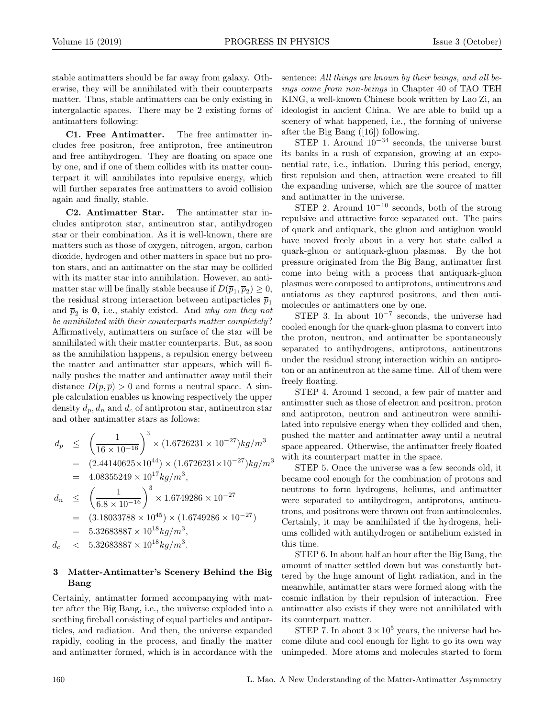stable antimatters should be far away from galaxy. Otherwise, they will be annihilated with their counterparts matter. Thus, stable antimatters can be only existing in intergalactic spaces. There may be 2 existing forms of antimatters following:

C1. Free Antimatter. The free antimatter includes free positron, free antiproton, free antineutron and free antihydrogen. They are floating on space one by one, and if one of them collides with its matter counterpart it will annihilates into repulsive energy, which will further separates free antimatters to avoid collision again and finally, stable.

C2. Antimatter Star. The antimatter star includes antiproton star, antineutron star, antihydrogen star or their combination. As it is well-known, there are matters such as those of oxygen, nitrogen, argon, carbon dioxide, hydrogen and other matters in space but no proton stars, and an antimatter on the star may be collided with its matter star into annihilation. However, an antimatter star will be finally stable because if  $D(\bar{p}_1, \bar{p}_2) \ge 0$ , the residual strong interaction between antiparticles  $\bar{p}_1$ and  $\bar{p}_2$  is 0, i.e., stably existed. And why can they not be annihilated with their counterparts matter completely? Affirmatively, antimatters on surface of the star will be annihilated with their matter counterparts. But, as soon as the annihilation happens, a repulsion energy between the matter and antimatter star appears, which will finally pushes the matter and antimatter away until their distance  $D(p, \overline{p}) > 0$  and forms a neutral space. A simple calculation enables us knowing respectively the upper density  $d_p, d_n$  and  $d_c$  of antiproton star, antineutron star and other antimatter stars as follows:

$$
d_p \le \left(\frac{1}{16 \times 10^{-16}}\right)^3 \times (1.6726231 \times 10^{-27}) kg/m^3
$$
  
\n
$$
= (2.44140625 \times 10^{44}) \times (1.6726231 \times 10^{-27}) kg/m^3
$$
  
\n
$$
= 4.08355249 \times 10^{17} kg/m^3,
$$
  
\n
$$
d_n \le \left(\frac{1}{6.8 \times 10^{-16}}\right)^3 \times 1.6749286 \times 10^{-27}
$$
  
\n
$$
= (3.18033788 \times 10^{45}) \times (1.6749286 \times 10^{-27})
$$
  
\n
$$
= 5.32683887 \times 10^{18} kg/m^3,
$$

 $d_c$  < 5.32683887 ×  $10^{18} kg/m^3$ .

# 3 Matter-Antimatter's Scenery Behind the Big Bang

Certainly, antimatter formed accompanying with matter after the Big Bang, i.e., the universe exploded into a seething fireball consisting of equal particles and antiparticles, and radiation. And then, the universe expanded rapidly, cooling in the process, and finally the matter and antimatter formed, which is in accordance with the sentence: All things are known by their beings, and all beings come from non-beings in Chapter 40 of TAO TEH KING, a well-known Chinese book written by Lao Zi, an ideologist in ancient China. We are able to build up a scenery of what happened, i.e., the forming of universe after the Big Bang ([16]) following.

STEP 1. Around  $10^{-34}$  seconds, the universe burst its banks in a rush of expansion, growing at an exponential rate, i.e., inflation. During this period, energy, first repulsion and then, attraction were created to fill the expanding universe, which are the source of matter and antimatter in the universe.

STEP 2. Around  $10^{-10}$  seconds, both of the strong repulsive and attractive force separated out. The pairs of quark and antiquark, the gluon and antigluon would have moved freely about in a very hot state called a quark-gluon or antiquark-gluon plasmas. By the hot pressure originated from the Big Bang, antimatter first come into being with a process that antiquark-gluon plasmas were composed to antiprotons, antineutrons and antiatoms as they captured positrons, and then antimolecules or antimatters one by one.

STEP 3. In about  $10^{-7}$  seconds, the universe had cooled enough for the quark-gluon plasma to convert into the proton, neutron, and antimatter be spontaneously separated to antihydrogens, antiprotons, antineutrons under the residual strong interaction within an antiproton or an antineutron at the same time. All of them were freely floating.

STEP 4. Around 1 second, a few pair of matter and antimatter such as those of electron and positron, proton and antiproton, neutron and antineutron were annihilated into repulsive energy when they collided and then, pushed the matter and antimatter away until a neutral space appeared. Otherwise, the antimatter freely floated with its counterpart matter in the space.

STEP 5. Once the universe was a few seconds old, it became cool enough for the combination of protons and neutrons to form hydrogens, heliums, and antimatter were separated to antihydrogen, antiprotons, antineutrons, and positrons were thrown out from antimolecules. Certainly, it may be annihilated if the hydrogens, heliums collided with antihydrogen or antihelium existed in this time.

STEP 6. In about half an hour after the Big Bang, the amount of matter settled down but was constantly battered by the huge amount of light radiation, and in the meanwhile, antimatter stars were formed along with the cosmic inflation by their repulsion of interaction. Free antimatter also exists if they were not annihilated with its counterpart matter.

STEP 7. In about  $3 \times 10^5$  years, the universe had become dilute and cool enough for light to go its own way unimpeded. More atoms and molecules started to form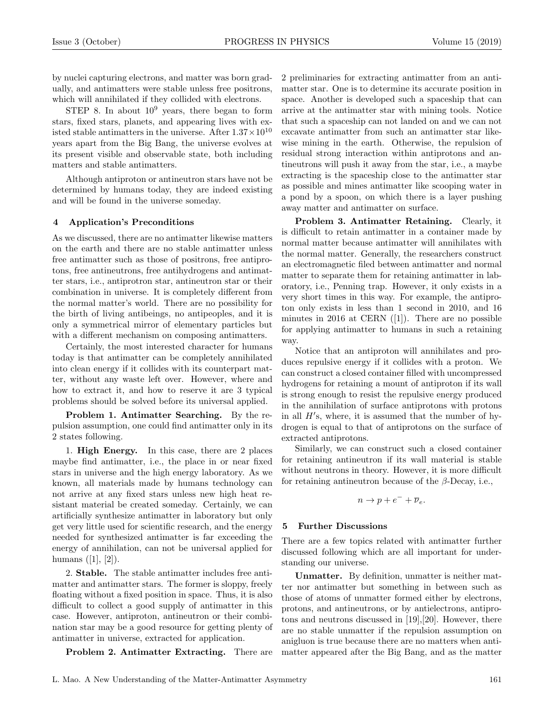by nuclei capturing electrons, and matter was born gradually, and antimatters were stable unless free positrons, which will annihilated if they collided with electrons.

STEP 8. In about  $10^9$  years, there began to form stars, fixed stars, planets, and appearing lives with existed stable antimatters in the universe. After  $1.37 \times 10^{10}$ years apart from the Big Bang, the universe evolves at its present visible and observable state, both including matters and stable antimatters.

Although antiproton or antineutron stars have not be determined by humans today, they are indeed existing and will be found in the universe someday.

#### 4 Application's Preconditions

As we discussed, there are no antimatter likewise matters on the earth and there are no stable antimatter unless free antimatter such as those of positrons, free antiprotons, free antineutrons, free antihydrogens and antimatter stars, i.e., antiprotron star, antineutron star or their combination in universe. It is completely different from the normal matter's world. There are no possibility for the birth of living antibeings, no antipeoples, and it is only a symmetrical mirror of elementary particles but with a different mechanism on composing antimatters.

Certainly, the most interested character for humans today is that antimatter can be completely annihilated into clean energy if it collides with its counterpart matter, without any waste left over. However, where and how to extract it, and how to reserve it are 3 typical problems should be solved before its universal applied.

Problem 1. Antimatter Searching. By the repulsion assumption, one could find antimatter only in its 2 states following.

1. High Energy. In this case, there are 2 places maybe find antimatter, i.e., the place in or near fixed stars in universe and the high energy laboratory. As we known, all materials made by humans technology can not arrive at any fixed stars unless new high heat resistant material be created someday. Certainly, we can artificially synthesize antimatter in laboratory but only get very little used for scientific research, and the energy needed for synthesized antimatter is far exceeding the energy of annihilation, can not be universal applied for humans  $([1], [2])$ .

2. Stable. The stable antimatter includes free antimatter and antimatter stars. The former is sloppy, freely floating without a fixed position in space. Thus, it is also difficult to collect a good supply of antimatter in this case. However, antiproton, antineutron or their combination star may be a good resource for getting plenty of antimatter in universe, extracted for application.

Problem 2. Antimatter Extracting. There are

2 preliminaries for extracting antimatter from an antimatter star. One is to determine its accurate position in space. Another is developed such a spaceship that can arrive at the antimatter star with mining tools. Notice that such a spaceship can not landed on and we can not excavate antimatter from such an antimatter star likewise mining in the earth. Otherwise, the repulsion of residual strong interaction within antiprotons and antineutrons will push it away from the star, i.e., a maybe extracting is the spaceship close to the antimatter star as possible and mines antimatter like scooping water in a pond by a spoon, on which there is a layer pushing away matter and antimatter on surface.

Problem 3. Antimatter Retaining. Clearly, it is difficult to retain antimatter in a container made by normal matter because antimatter will annihilates with the normal matter. Generally, the researchers construct an electromagnetic filed between antimatter and normal matter to separate them for retaining antimatter in laboratory, i.e., Penning trap. However, it only exists in a very short times in this way. For example, the antiproton only exists in less than 1 second in 2010, and 16 minutes in 2016 at CERN ([1]). There are no possible for applying antimatter to humans in such a retaining way.

Notice that an antiproton will annihilates and produces repulsive energy if it collides with a proton. We can construct a closed container filled with uncompressed hydrogens for retaining a mount of antiproton if its wall is strong enough to resist the repulsive energy produced in the annihilation of surface antiprotons with protons in all  $H$ 's, where, it is assumed that the number of hydrogen is equal to that of antiprotons on the surface of extracted antiprotons.

Similarly, we can construct such a closed container for retaining antineutron if its wall material is stable without neutrons in theory. However, it is more difficult for retaining antineutron because of the  $\beta$ -Decay, i.e.,

$$
n \to p + e^- + \overline{\nu}_e.
$$

#### 5 Further Discussions

There are a few topics related with antimatter further discussed following which are all important for understanding our universe.

Unmatter. By definition, unmatter is neither matter nor antimatter but something in between such as those of atoms of unmatter formed either by electrons, protons, and antineutrons, or by antielectrons, antiprotons and neutrons discussed in [19],[20]. However, there are no stable unmatter if the repulsion assumption on anigluon is true because there are no matters when antimatter appeared after the Big Bang, and as the matter